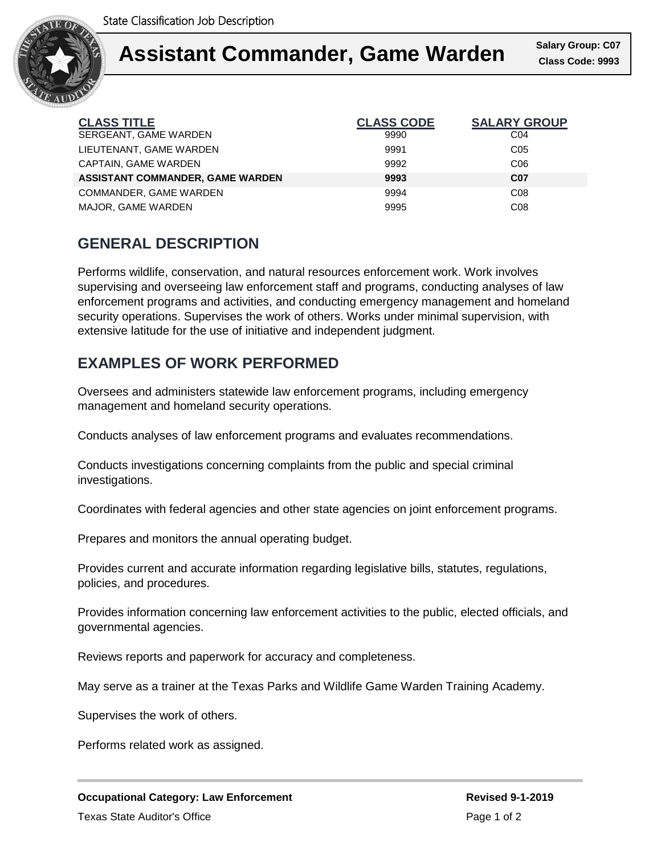

#### **Assume Calary Group** Ι Assistant Commander, Game Warden **Class Code: 9993**

**Class Code: 9993 Salary Group: C07**

| <b>CLASS TITLE</b>                      | <b>CLASS CODE</b> | <b>SALARY GROUP</b> |
|-----------------------------------------|-------------------|---------------------|
| SERGEANT, GAME WARDEN                   | 9990              | C04                 |
| LIEUTENANT, GAME WARDEN                 | 9991              | C <sub>05</sub>     |
| CAPTAIN, GAME WARDEN                    | 9992              | C <sub>06</sub>     |
| <b>ASSISTANT COMMANDER, GAME WARDEN</b> | 9993              | <b>C07</b>          |
| COMMANDER, GAME WARDEN                  | 9994              | CO8                 |
| MAJOR, GAME WARDEN                      | 9995              | CO8                 |

## **GENERAL DESCRIPTION**

Performs wildlife, conservation, and natural resources enforcement work. Work involves supervising and overseeing law enforcement staff and programs, conducting analyses of law enforcement programs and activities, and conducting emergency management and homeland security operations. Supervises the work of others. Works under minimal supervision, with extensive latitude for the use of initiative and independent judgment.

# **EXAMPLES OF WORK PERFORMED**

Oversees and administers statewide law enforcement programs, including emergency management and homeland security operations.

Conducts analyses of law enforcement programs and evaluates recommendations.

Conducts investigations concerning complaints from the public and special criminal investigations.

Coordinates with federal agencies and other state agencies on joint enforcement programs.

Prepares and monitors the annual operating budget.

Provides current and accurate information regarding legislative bills, statutes, regulations, policies, and procedures.

Provides information concerning law enforcement activities to the public, elected officials, and governmental agencies.

Reviews reports and paperwork for accuracy and completeness.

May serve as a trainer at the Texas Parks and Wildlife Game Warden Training Academy.

Supervises the work of others.

Performs related work as assigned.